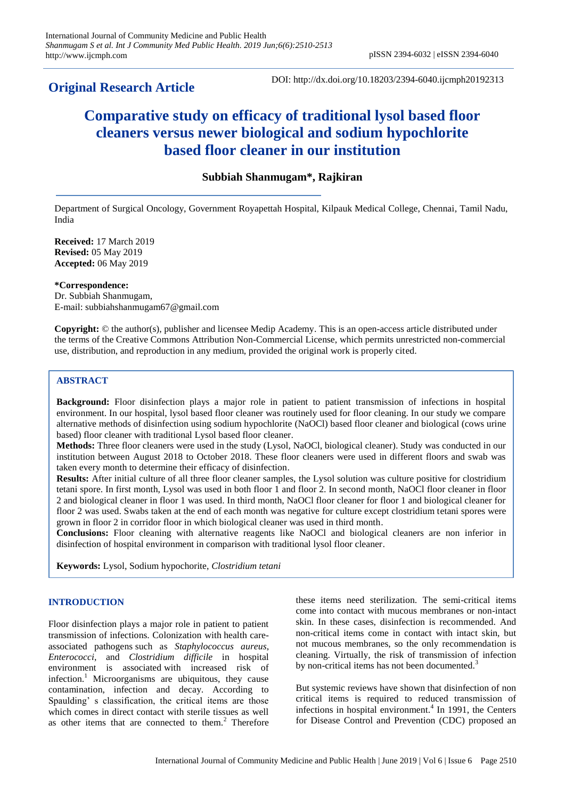## **Original Research Article**

DOI: http://dx.doi.org/10.18203/2394-6040.ijcmph20192313

# **Comparative study on efficacy of traditional lysol based floor cleaners versus newer biological and sodium hypochlorite based floor cleaner in our institution**

## **Subbiah Shanmugam\*, Rajkiran**

Department of Surgical Oncology, Government Royapettah Hospital, Kilpauk Medical College, Chennai, Tamil Nadu, India

**Received:** 17 March 2019 **Revised:** 05 May 2019 **Accepted:** 06 May 2019

## **\*Correspondence:**

Dr. Subbiah Shanmugam, E-mail: subbiahshanmugam67@gmail.com

**Copyright:** © the author(s), publisher and licensee Medip Academy. This is an open-access article distributed under the terms of the Creative Commons Attribution Non-Commercial License, which permits unrestricted non-commercial use, distribution, and reproduction in any medium, provided the original work is properly cited.

## **ABSTRACT**

**Background:** Floor disinfection plays a major role in patient to patient transmission of infections in hospital environment. In our hospital, lysol based floor cleaner was routinely used for floor cleaning. In our study we compare alternative methods of disinfection using sodium hypochlorite (NaOCl) based floor cleaner and biological (cows urine based) floor cleaner with traditional Lysol based floor cleaner.

**Methods:** Three floor cleaners were used in the study (Lysol, NaOCl, biological cleaner). Study was conducted in our institution between August 2018 to October 2018. These floor cleaners were used in different floors and swab was taken every month to determine their efficacy of disinfection.

**Results:** After initial culture of all three floor cleaner samples, the Lysol solution was culture positive for clostridium tetani spore. In first month, Lysol was used in both floor 1 and floor 2. In second month, NaOCl floor cleaner in floor 2 and biological cleaner in floor 1 was used. In third month, NaOCl floor cleaner for floor 1 and biological cleaner for floor 2 was used. Swabs taken at the end of each month was negative for culture except clostridium tetani spores were grown in floor 2 in corridor floor in which biological cleaner was used in third month.

**Conclusions:** Floor cleaning with alternative reagents like NaOCl and biological cleaners are non inferior in disinfection of hospital environment in comparison with traditional lysol floor cleaner.

**Keywords:** Lysol, Sodium hypochorite, *Clostridium tetani*

## **INTRODUCTION**

Floor disinfection plays a major role in patient to patient transmission of infections. Colonization with health careassociated pathogens such as *Staphylococcus aureus*, *Enterococci*, and *Clostridium difficile* in hospital environment is associated with increased risk of infection.<sup>1</sup> Microorganisms are ubiquitous, they cause contamination, infection and decay. According to Spaulding' s classification, the critical items are those which comes in direct contact with sterile tissues as well as other items that are connected to them.<sup>2</sup> Therefore these items need sterilization. The semi-critical items come into contact with mucous membranes or non-intact skin. In these cases, disinfection is recommended. And non-critical items come in contact with intact skin, but not mucous membranes, so the only recommendation is cleaning. Virtually, the risk of transmission of infection by non-critical items has not been documented.<sup>3</sup>

But systemic reviews have shown that disinfection of non critical items is required to reduced transmission of infections in hospital environment.<sup>4</sup> In 1991, the Centers for Disease Control and Prevention (CDC) proposed an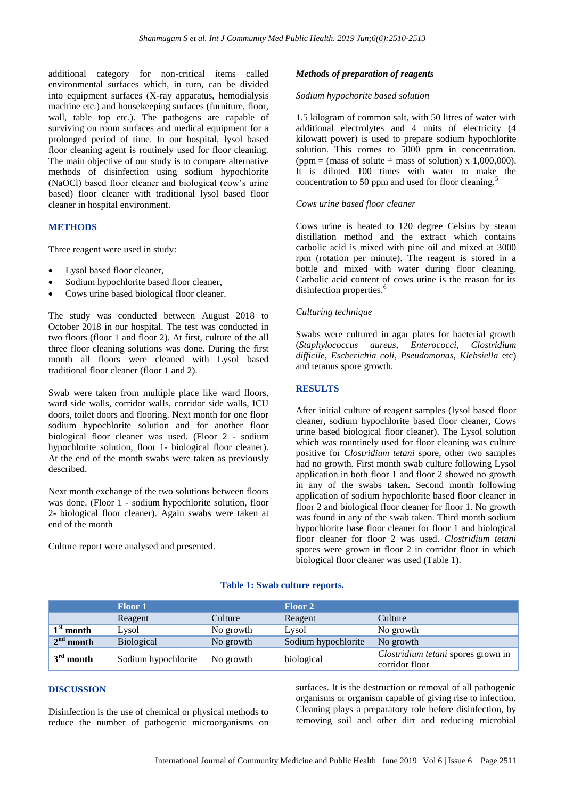additional category for non-critical items called environmental surfaces which, in turn, can be divided into equipment surfaces (X-ray apparatus, hemodialysis machine etc.) and housekeeping surfaces (furniture, floor, wall, table top etc.). The pathogens are capable of surviving on room surfaces and medical equipment for a prolonged period of time. In our hospital, lysol based floor cleaning agent is routinely used for floor cleaning. The main objective of our study is to compare alternative methods of disinfection using sodium hypochlorite (NaOCl) based floor cleaner and biological (cow's urine based) floor cleaner with traditional lysol based floor cleaner in hospital environment.

## **METHODS**

Three reagent were used in study:

- Lysol based floor cleaner,
- Sodium hypochlorite based floor cleaner,
- Cows urine based biological floor cleaner.

The study was conducted between August 2018 to October 2018 in our hospital. The test was conducted in two floors (floor 1 and floor 2). At first, culture of the all three floor cleaning solutions was done. During the first month all floors were cleaned with Lysol based traditional floor cleaner (floor 1 and 2).

Swab were taken from multiple place like ward floors, ward side walls, corridor walls, corridor side walls, ICU doors, toilet doors and flooring. Next month for one floor sodium hypochlorite solution and for another floor biological floor cleaner was used. (Floor 2 - sodium hypochlorite solution, floor 1- biological floor cleaner). At the end of the month swabs were taken as previously described.

Next month exchange of the two solutions between floors was done. (Floor 1 - sodium hypochlorite solution, floor 2- biological floor cleaner). Again swabs were taken at end of the month

Culture report were analysed and presented.

### *Methods of preparation of reagents*

#### *Sodium hypochorite based solution*

1.5 kilogram of common salt, with 50 litres of water with additional electrolytes and 4 units of electricity (4 kilowatt power) is used to prepare sodium hypochlorite solution. This comes to 5000 ppm in concentration. (ppm = (mass of solute  $\div$  mass of solution) x 1,000,000). It is diluted 100 times with water to make the concentration to 50 ppm and used for floor cleaning.<sup>5</sup>

#### *Cows urine based floor cleaner*

Cows urine is heated to 120 degree Celsius by steam distillation method and the extract which contains carbolic acid is mixed with pine oil and mixed at 3000 rpm (rotation per minute). The reagent is stored in a bottle and mixed with water during floor cleaning. Carbolic acid content of cows urine is the reason for its disinfection properties.<sup>6</sup>

#### *Culturing technique*

Swabs were cultured in agar plates for bacterial growth (*Staphylococcus aureus*, *Enterococci*, *Clostridium difficile*, *Escherichia coli*, *Pseudomonas*, *Klebsiella* etc) and tetanus spore growth.

## **RESULTS**

After initial culture of reagent samples (lysol based floor cleaner, sodium hypochlorite based floor cleaner, Cows urine based biological floor cleaner). The Lysol solution which was rountinely used for floor cleaning was culture positive for *Clostridium tetani* spore, other two samples had no growth. First month swab culture following Lysol application in both floor 1 and floor 2 showed no growth in any of the swabs taken. Second month following application of sodium hypochlorite based floor cleaner in floor 2 and biological floor cleaner for floor 1. No growth was found in any of the swab taken. Third month sodium hypochlorite base floor cleaner for floor 1 and biological floor cleaner for floor 2 was used. *Clostridium tetani* spores were grown in floor 2 in corridor floor in which biological floor cleaner was used (Table 1).

#### **Floor 1 Floor 2** Reagent Culture Reagent Culture  $1<sup>st</sup>$  month **Eysol** No growth Lysol No growth  $2<sup>nd</sup>$  month Biological No growth Sodium hypochlorite No growth  $3^{\text{rd}}$  month **rd Sodium hypochlorite** No growth biological *Clostridium tetani* spores grown in corridor floor

#### **Table 1: Swab culture reports.**

## **DISCUSSION**

Disinfection is the use of chemical or physical methods to reduce the number of pathogenic microorganisms on surfaces. It is the destruction or removal of all pathogenic organisms or organism capable of giving rise to infection. Cleaning plays a preparatory role before disinfection, by removing soil and other dirt and reducing microbial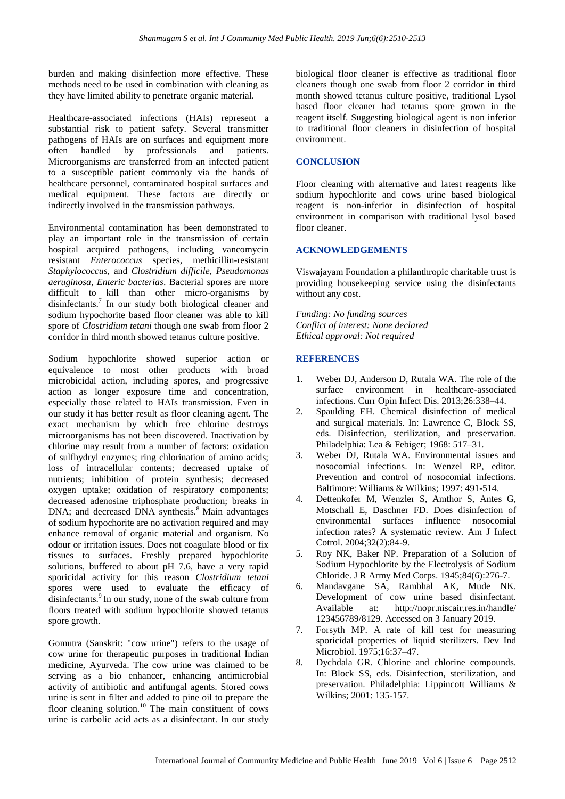burden and making disinfection more effective. These methods need to be used in combination with cleaning as they have limited ability to penetrate organic material.

Healthcare-associated infections (HAIs) represent a substantial risk to patient safety. Several transmitter pathogens of HAIs are on surfaces and equipment more often handled by professionals and patients. Microorganisms are transferred from an infected patient to a susceptible patient commonly via the hands of healthcare personnel, contaminated hospital surfaces and medical equipment. These factors are directly or indirectly involved in the transmission pathways.

Environmental contamination has been demonstrated to play an important role in the transmission of certain hospital acquired pathogens, including vancomycin resistant *Enterococcus* species, methicillin-resistant *Staphylococcus*, and *Clostridium difficile*, *Pseudomonas aeruginosa*, *Enteric bacterias*. Bacterial spores are more difficult to kill than other micro-organisms by disinfectants.<sup>7</sup> In our study both biological cleaner and sodium hypochorite based floor cleaner was able to kill spore of *Clostridium tetani* though one swab from floor 2 corridor in third month showed tetanus culture positive.

Sodium hypochlorite showed superior action or equivalence to most other products with broad microbicidal action, including spores, and progressive action as longer exposure time and concentration, especially those related to HAIs transmission. Even in our study it has better result as floor cleaning agent. The exact mechanism by which free chlorine destroys microorganisms has not been discovered. Inactivation by chlorine may result from a number of factors: oxidation of sulfhydryl enzymes; ring chlorination of amino acids; loss of intracellular contents; decreased uptake of nutrients; inhibition of protein synthesis; decreased oxygen uptake; oxidation of respiratory components; decreased adenosine triphosphate production; breaks in DNA; and decreased DNA synthesis.<sup>8</sup> Main advantages of sodium hypochorite are no activation required and may enhance removal of organic material and organism. No odour or irritation issues. Does not coagulate blood or fix tissues to surfaces. Freshly prepared hypochlorite solutions, buffered to about pH 7.6, have a very rapid sporicidal activity for this reason *Clostridium tetani* spores were used to evaluate the efficacy of disinfectants.<sup>9</sup> In our study, none of the swab culture from floors treated with sodium hypochlorite showed tetanus spore growth.

Gomutra (Sanskrit: "cow urine") refers to the usage of cow urine for therapeutic purposes in traditional Indian medicine, Ayurveda. The cow urine was claimed to be serving as a bio enhancer, enhancing antimicrobial activity of antibiotic and antifungal agents. Stored cows urine is sent in filter and added to pine oil to prepare the floor cleaning solution.<sup>10</sup> The main constituent of cows urine is carbolic acid acts as a disinfectant. In our study biological floor cleaner is effective as traditional floor cleaners though one swab from floor 2 corridor in third month showed tetanus culture positive, traditional Lysol based floor cleaner had tetanus spore grown in the reagent itself. Suggesting biological agent is non inferior to traditional floor cleaners in disinfection of hospital environment.

## **CONCLUSION**

Floor cleaning with alternative and latest reagents like sodium hypochlorite and cows urine based biological reagent is non-inferior in disinfection of hospital environment in comparison with traditional lysol based floor cleaner.

## **ACKNOWLEDGEMENTS**

Viswajayam Foundation a philanthropic charitable trust is providing housekeeping service using the disinfectants without any cost.

*Funding: No funding sources Conflict of interest: None declared Ethical approval: Not required*

## **REFERENCES**

- 1. Weber DJ, Anderson D, Rutala WA. The role of the surface environment in healthcare-associated infections. Curr Opin Infect Dis. 2013;26:338–44.
- 2. Spaulding EH. Chemical disinfection of medical and surgical materials. In: Lawrence C, Block SS, eds. Disinfection, sterilization, and preservation. Philadelphia: Lea & Febiger; 1968: 517–31.
- 3. Weber DJ, Rutala WA. Environmental issues and nosocomial infections. In: Wenzel RP, editor. Prevention and control of nosocomial infections. Baltimore: Williams & Wilkins; 1997: 491-514.
- 4. Dettenkofer M, Wenzler S, Amthor S, Antes G, Motschall E, Daschner FD. Does disinfection of environmental surfaces influence nosocomial infection rates? A systematic review. Am J Infect Cotrol. 2004;32(2):84-9.
- 5. Roy NK, Baker NP. Preparation of a Solution of Sodium Hypochlorite by the Electrolysis of Sodium Chloride. J R Army Med Corps. 1945;84(6):276-7.
- 6. Mandavgane SA, Rambhal AK, Mude NK. Development of cow urine based disinfectant. Available at: http://nopr.niscair.res.in/handle/ 123456789/8129. Accessed on 3 January 2019.
- 7. Forsyth MP. A rate of kill test for measuring sporicidal properties of liquid sterilizers. Dev Ind Microbiol. 1975;16:37–47.
- 8. Dychdala GR. Chlorine and chlorine compounds. In: Block SS, eds. Disinfection, sterilization, and preservation. Philadelphia: Lippincott Williams & Wilkins; 2001: 135-157.